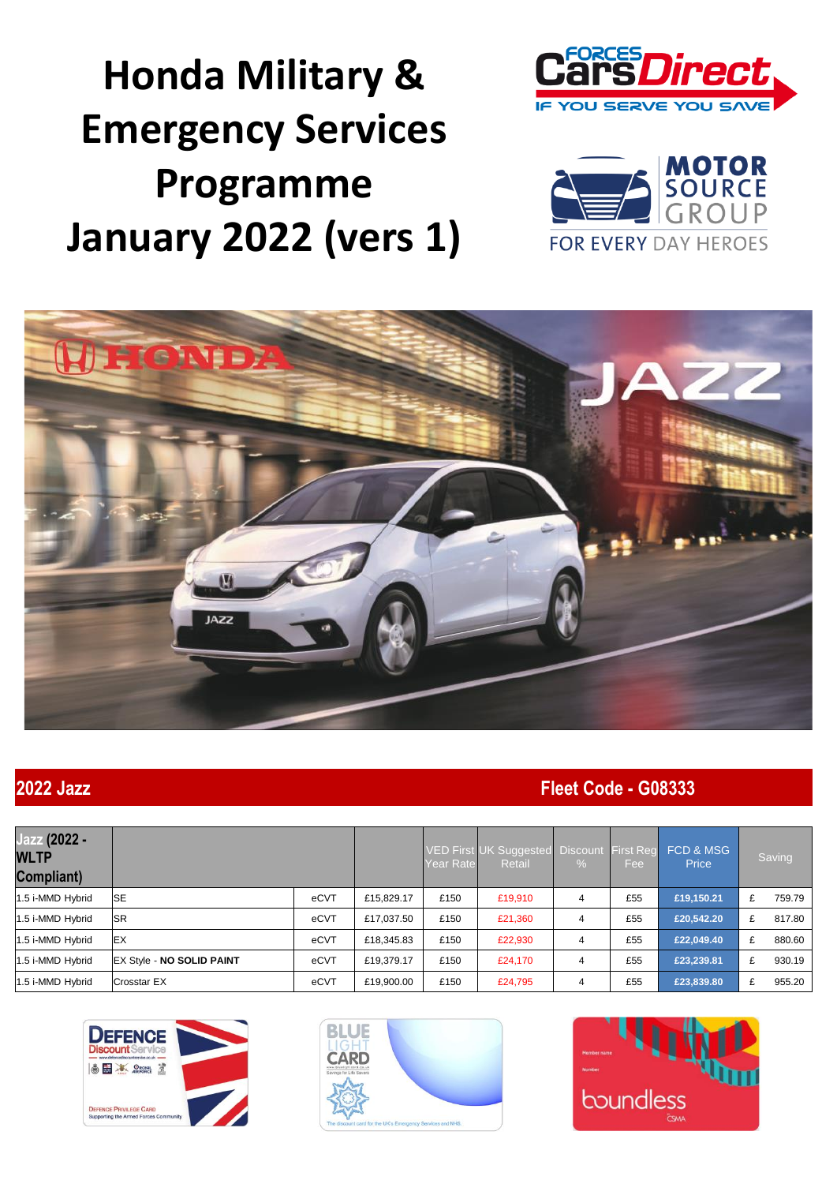**Honda Military & Emergency Services Programme January 2022 (vers 1)**







### **2022 Jazz Fleet Code - G08333**

| Jazz (2022 -<br><b>WLTP</b><br>Compliant) |                                   |      |            | Year Rate | VED First UK Suggested Discount<br><b>Retail</b> | $\%$ | First Reg<br>Fee: | FCD & MSG<br>Price |   | Saving |
|-------------------------------------------|-----------------------------------|------|------------|-----------|--------------------------------------------------|------|-------------------|--------------------|---|--------|
| 1.5 i-MMD Hybrid                          | <b>ISE</b>                        | eCVT | £15.829.17 | £150      | £19,910                                          | 4    | £55               | £19,150.21         | £ | 759.79 |
| 1.5 i-MMD Hybrid                          | <b>ISR</b>                        | eCVT | £17,037.50 | £150      | £21,360                                          | 4    | £55               | £20,542.20         | £ | 817.80 |
| 1.5 i-MMD Hybrid                          | <b>IEX</b>                        | eCVT | £18,345.83 | £150      | £22,930                                          | 4    | £55               | £22,049.40         | £ | 880.60 |
| 1.5 i-MMD Hybrid                          | <b>IEX Style - NO SOLID PAINT</b> | eCVT | £19.379.17 | £150      | £24,170                                          | 4    | £55               | £23,239.81         | £ | 930.19 |
| 1.5 i-MMD Hybrid                          | <b>Crosstar EX</b>                | eCVT | £19,900.00 | £150      | £24,795                                          | 4    | £55               | £23,839.80         | £ | 955.20 |





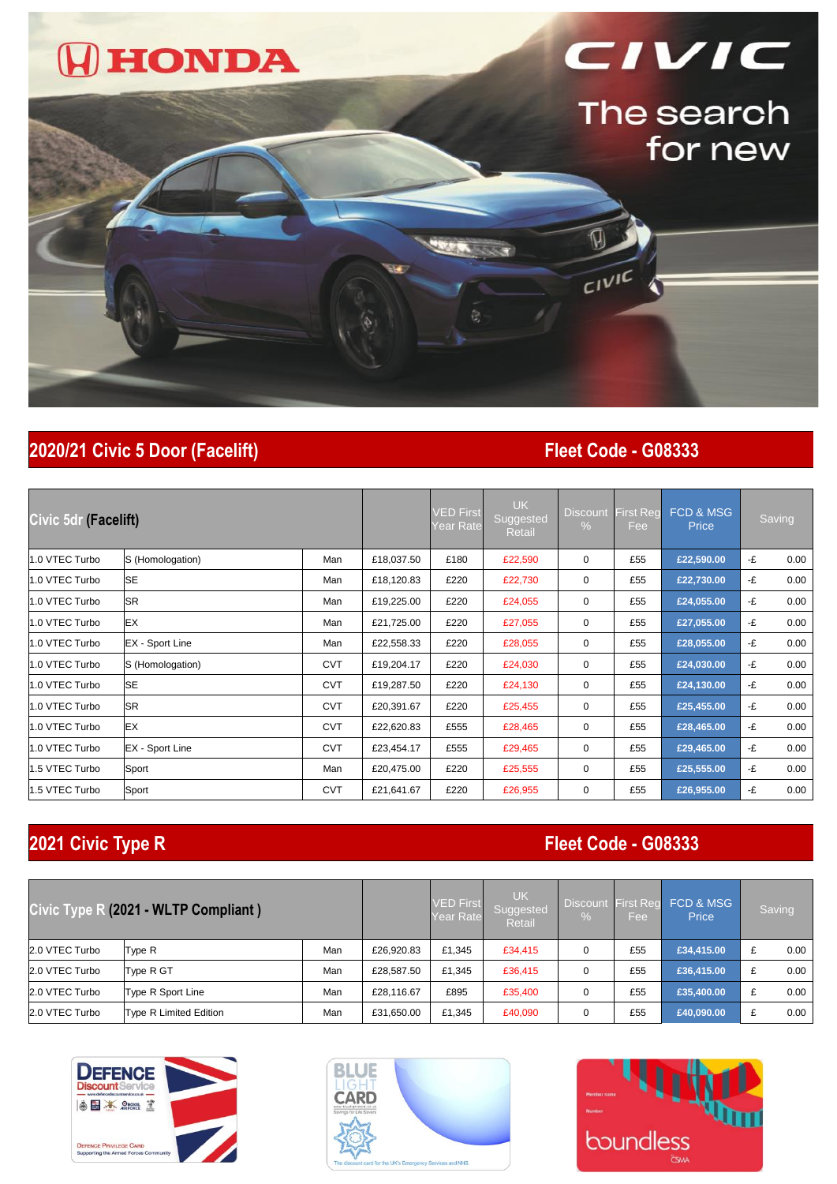

## **2020/21 Civic 5 Door (Facelift) Fleet Code - G08333**

| Civic 5dr (Facelift) |                        |            | VED First<br>Year Rate | <b>UK</b><br>Suggested<br>Retail | Discount<br>$\%$ | <b>First Reg</b><br>Fee | <b>FCD &amp; MSG</b><br>Price |            | Saving |      |
|----------------------|------------------------|------------|------------------------|----------------------------------|------------------|-------------------------|-------------------------------|------------|--------|------|
| 1.0 VTEC Turbo       | S (Homologation)       | Man        | £18,037.50             | £180                             | £22,590          | 0                       | £55                           | £22,590.00 | -£     | 0.00 |
| 1.0 VTEC Turbo       | <b>SE</b>              | Man        | £18,120.83             | £220                             | £22,730          | 0                       | £55                           | £22,730.00 | -£     | 0.00 |
| 1.0 VTEC Turbo       | <b>SR</b>              | Man        | £19,225.00             | £220                             | £24,055          | 0                       | £55                           | £24,055.00 | -£     | 0.00 |
| 1.0 VTEC Turbo       | EX                     | Man        | £21,725.00             | £220                             | £27,055          | $\mathbf 0$             | £55                           | £27,055.00 | -£     | 0.00 |
| 1.0 VTEC Turbo       | EX - Sport Line        | Man        | £22,558.33             | £220                             | £28,055          | 0                       | £55                           | £28,055.00 | -£     | 0.00 |
| 1.0 VTEC Turbo       | S (Homologation)       | <b>CVT</b> | £19,204.17             | £220                             | £24,030          | $\mathbf 0$             | £55                           | £24,030.00 | -£     | 0.00 |
| 1.0 VTEC Turbo       | <b>SE</b>              | <b>CVT</b> | £19,287.50             | £220                             | £24,130          | $\mathbf 0$             | £55                           | £24,130.00 | -£     | 0.00 |
| 1.0 VTEC Turbo       | <b>SR</b>              | <b>CVT</b> | £20,391.67             | £220                             | £25,455          | $\mathbf 0$             | £55                           | £25,455.00 | -£     | 0.00 |
| 1.0 VTEC Turbo       | EX                     | <b>CVT</b> | £22,620.83             | £555                             | £28,465          | 0                       | £55                           | £28,465.00 | -£     | 0.00 |
| 1.0 VTEC Turbo       | <b>EX</b> - Sport Line | <b>CVT</b> | £23,454.17             | £555                             | £29,465          | $\mathbf 0$             | £55                           | £29,465.00 | -£     | 0.00 |
| 1.5 VTEC Turbo       | Sport                  | Man        | £20,475.00             | £220                             | £25,555          | 0                       | £55                           | £25,555.00 | -£     | 0.00 |
| 1.5 VTEC Turbo       | Sport                  | <b>CVT</b> | £21,641.67             | £220                             | £26,955          | $\mathbf 0$             | £55                           | £26,955.00 | -£     | 0.00 |

## **2021 Civic Type R Fleet Code - G08333**

| Civic Type R (2021 - WLTP Compliant) |                        |     | <b>VED</b> First<br>Year Rate | <b>UK</b><br>Suggested<br>Retail | <b>Discount</b><br>% | First Reg<br>'Fee | FCD & MSG<br>Price | Saving     |      |
|--------------------------------------|------------------------|-----|-------------------------------|----------------------------------|----------------------|-------------------|--------------------|------------|------|
| 2.0 VTEC Turbo                       | Type R                 | Man | £26,920.83                    | £1.345                           | £34,415              | 0                 | £55                | £34,415.00 | 0.00 |
| 2.0 VTEC Turbo                       | Type R GT              | Man | £28,587.50                    | £1.345                           | £36,415              | 0                 | £55                | £36,415.00 | 0.00 |
| 2.0 VTEC Turbo                       | Type R Sport Line      | Man | £28.116.67                    | £895                             | £35,400              | 0                 | £55                | £35,400.00 | 0.00 |
| 2.0 VTEC Turbo                       | Type R Limited Edition | Man | £31,650.00                    | £1,345                           | £40,090              | 0                 | £55                | £40,090.00 | 0.00 |





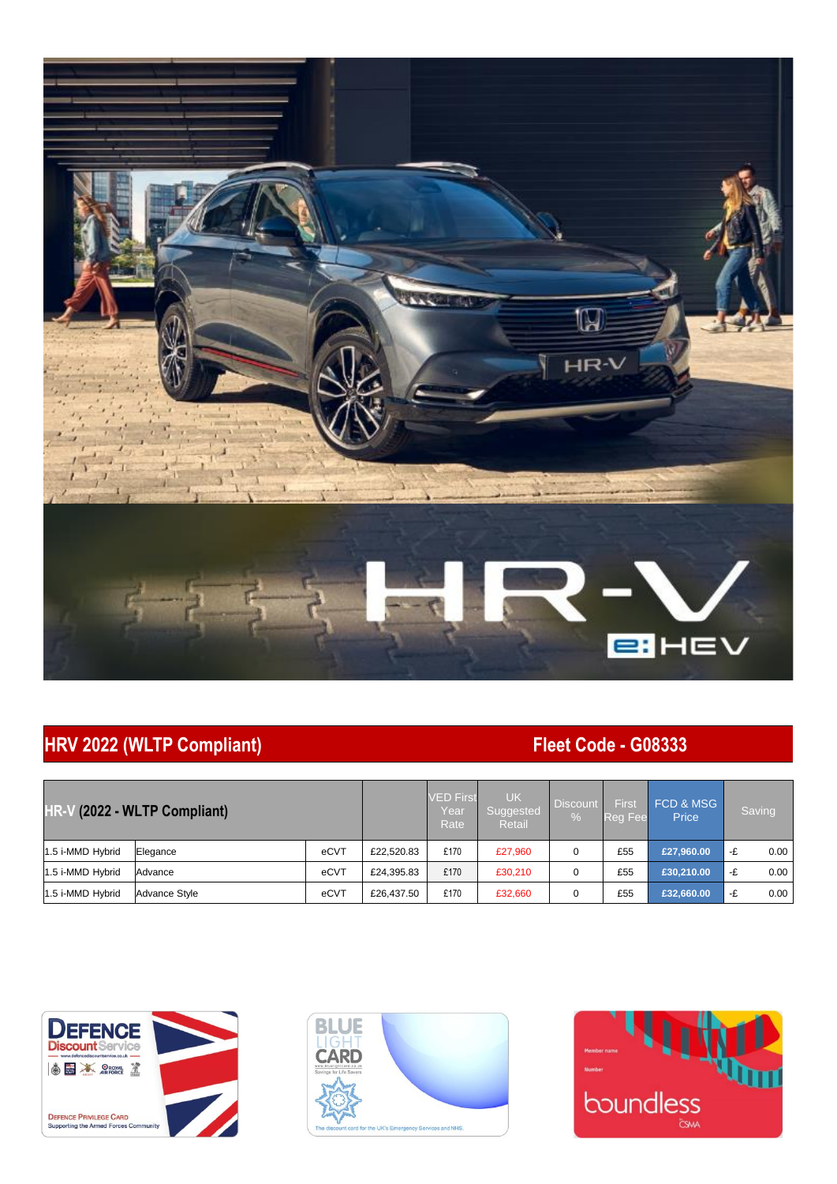

## **HRV 2022 (WLTP Compliant) Fleet Code - G08333**

| HR-V (2022 - WLTP Compliant) |               |      | <b>VED First</b><br>Year<br>Rate <sup>1</sup> | <b>UK</b><br>Suggested<br>Retail | <b>Discount</b><br>$\%$ | First<br>Reg Fee | FCD & MSG<br>Price | Saving     |            |
|------------------------------|---------------|------|-----------------------------------------------|----------------------------------|-------------------------|------------------|--------------------|------------|------------|
| 1.5 i-MMD Hybrid             | Elegance      | eCVT | £22,520.83                                    | £170                             | £27,960                 |                  | £55                | £27,960.00 | 0.00<br>-£ |
| 1.5 i-MMD Hybrid             | Advance       | eCVT | £24,395.83                                    | £170                             | £30,210                 |                  | £55                | £30,210.00 | 0.00<br>-£ |
| 1.5 i-MMD Hybrid             | Advance Style | eCVT | £26,437.50                                    | £170                             | £32,660                 |                  | £55                | £32,660.00 | 0.00<br>-£ |





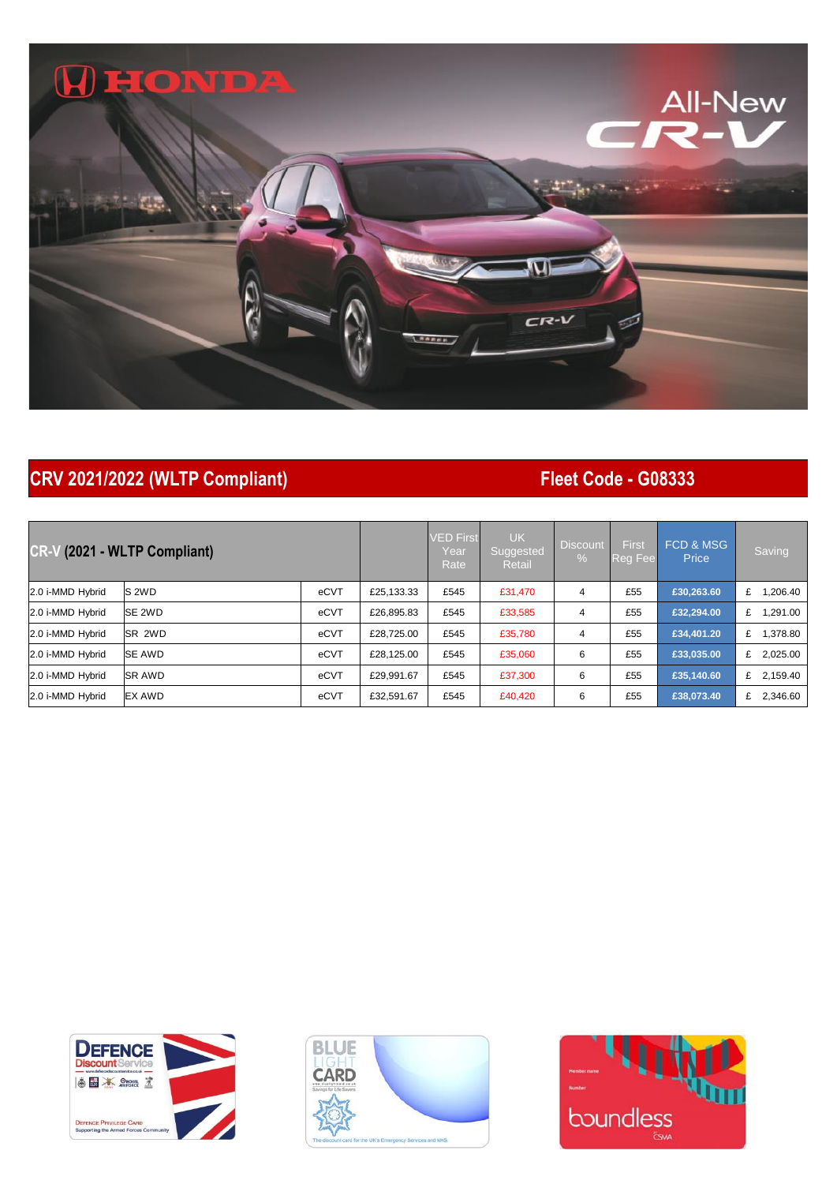## **WHONDA**



## **CRV 2021/2022 (WLTP Compliant) Fleet Code - G08333**

| <b>CR-V</b><br>(2021 - WLTP Compliant) |                |      |            | <b>VED First</b><br>Year<br>Rate | <b>UK</b><br>Suggested<br><b>Retail</b> | <b>Discount</b><br>$\%$ | First<br><b>Reg Fee</b> | FCD & MSG<br>Price | Saving        |
|----------------------------------------|----------------|------|------------|----------------------------------|-----------------------------------------|-------------------------|-------------------------|--------------------|---------------|
| 2.0 i-MMD Hybrid                       | IS 2WD         | eCVT | £25,133.33 | £545                             | £31,470                                 | 4                       | £55                     | £30,263.60         | .206.40<br>£  |
| 2.0 i-MMD Hybrid                       | <b>SE 2WD</b>  | eCVT | £26,895.83 | £545                             | £33,585                                 | 4                       | £55                     | £32.294.00         | .291.00<br>£  |
| 2.0 i-MMD Hybrid                       | <b>ISR 2WD</b> | eCVT | £28.725.00 | £545                             | £35,780                                 | 4                       | £55                     | £34,401.20         | 1.378.80<br>£ |
| 2.0 i-MMD Hybrid                       | <b>SE AWD</b>  | eCVT | £28.125.00 | £545                             | £35,060                                 | 6                       | £55                     | £33,035.00         | 2,025.00<br>£ |
| 2.0 i-MMD Hybrid                       | <b>SR AWD</b>  | eCVT | £29.991.67 | £545                             | £37,300                                 | 6                       | £55                     | £35,140.60         | £ 2,159.40    |
| 2.0 i-MMD Hybrid                       | <b>EX AWD</b>  | eCVT | £32,591.67 | £545                             | £40,420                                 | 6                       | £55                     | £38,073.40         | 2,346.60<br>£ |